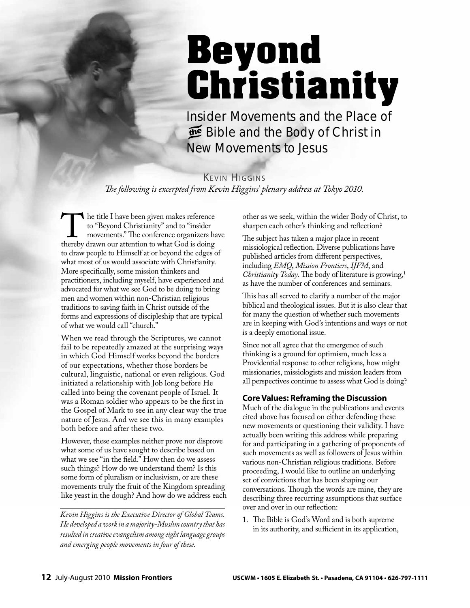## Beyond Christianity

*Insider Movements and the Place of Bible and the Body of Christ in New Movements to Jesus*

KEVIN HIGGINS The following is excerpted from Kevin Higgins' plenary address at Tokyo 2010.

The title I have been given makes reference to "Beyond Christianity" and to "insider movements." The conference organizers have thereby drawn our attention to what God is doing to draw people to Himself at or beyond the edges of what most of us would associate with Christianity. More specifically, some mission thinkers and practitioners, including myself, have experienced and advocated for what we see God to be doing to bring men and women within non-Christian religious traditions to saving faith in Christ outside of the forms and expressions of discipleship that are typical of what we would call "church."

When we read through the Scriptures, we cannot fail to be repeatedly amazed at the surprising ways in which God Himself works beyond the borders of our expectations, whether those borders be cultural, linguistic, national or even religious. God initiated a relationship with Job long before He called into being the covenant people of Israel. It was a Roman soldier who appears to be the first in the Gospel of Mark to see in any clear way the true nature of Jesus. And we see this in many examples both before and after these two.

However, these examples neither prove nor disprove what some of us have sought to describe based on what we see "in the field." How then do we assess such things? How do we understand them? Is this some form of pluralism or inclusivism, or are these movements truly the fruit of the Kingdom spreading like yeast in the dough? And how do we address each

*Kevin Higgins is the Executive Director of Global Teams. He developed a work in a majority-Muslim country that has resulted in creative evangelism among eight language groups and emerging people movements in four of these.*

other as we seek, within the wider Body of Christ, to sharpen each other's thinking and reflection?

The subject has taken a major place in recent missiological reflection. Diverse publications have published articles from different perspectives, including *EMQ*, *Mission Frontiers*, *IJFM*, and *Christianity Today*. The body of literature is growing,<sup>1</sup> as have the number of conferences and seminars.

This has all served to clarify a number of the major biblical and theological issues. But it is also clear that for many the question of whether such movements are in keeping with God's intentions and ways or not is a deeply emotional issue.

Since not all agree that the emergence of such thinking is a ground for optimism, much less a Providential response to other religions, how might missionaries, missiologists and mission leaders from all perspectives continue to assess what God is doing?

## **Core Values: Reframing the Discussion**

Much of the dialogue in the publications and events cited above has focused on either defending these new movements or questioning their validity. I have actually been writing this address while preparing for and participating in a gathering of proponents of such movements as well as followers of Jesus within various non-Christian religious traditions. Before proceeding, I would like to outline an underlying set of convictions that has been shaping our conversations. Though the words are mine, they are describing three recurring assumptions that surface over and over in our reflection:

1. The Bible is God's Word and is both supreme in its authority, and sufficient in its application,